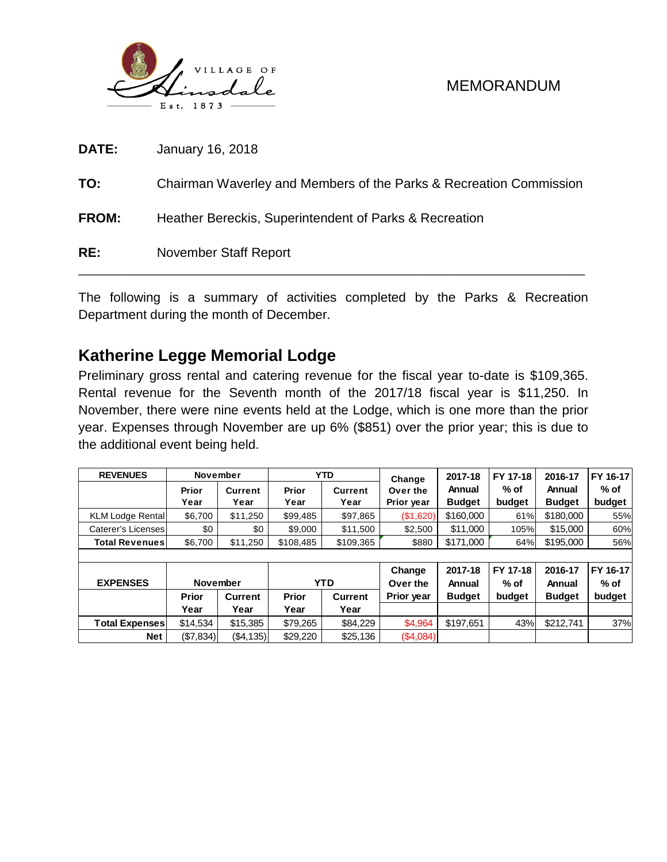

| RE:          | <b>November Staff Report</b>                                       |
|--------------|--------------------------------------------------------------------|
| <b>FROM:</b> | Heather Bereckis, Superintendent of Parks & Recreation             |
| TO:          | Chairman Waverley and Members of the Parks & Recreation Commission |
| <b>DATE:</b> | January 16, 2018                                                   |

The following is a summary of activities completed by the Parks & Recreation Department during the month of December.

# **Katherine Legge Memorial Lodge**

Preliminary gross rental and catering revenue for the fiscal year to-date is \$109,365. Rental revenue for the Seventh month of the 2017/18 fiscal year is \$11,250. In November, there were nine events held at the Lodge, which is one more than the prior year. Expenses through November are up 6% (\$851) over the prior year; this is due to the additional event being held.

| <b>REVENUES</b>                    | <b>November</b> |          |           | <b>YTD</b>              | Change            | 2017-18            | FY 17-18          | 2016-17          | FY 16-17 |  |  |  |
|------------------------------------|-----------------|----------|-----------|-------------------------|-------------------|--------------------|-------------------|------------------|----------|--|--|--|
|                                    | Prior           | Current  |           | Prior<br><b>Current</b> |                   | Annual             | % of              | Annual           | $%$ of   |  |  |  |
|                                    | Year            | Year     | Year      | Year                    | Prior year        | <b>Budget</b>      | budget            | <b>Budget</b>    | budget   |  |  |  |
| <b>KLM Lodge Rental</b>            | \$6,700         | \$11,250 | \$99,485  | \$97,865                | (\$1,620)         | \$160,000          | 61%               | \$180,000        | 55%      |  |  |  |
| Caterer's Licenses                 | \$0             | \$0      | \$9,000   | \$11,500                | \$2,500           | \$11.000           | 105%              | \$15,000         | 60%      |  |  |  |
| <b>Total Revenues</b>              | \$6,700         | \$11.250 | \$108.485 | \$109,365               | \$880             | \$171,000          | 64%               | \$195,000        | 56%      |  |  |  |
|                                    |                 |          |           |                         |                   |                    |                   |                  |          |  |  |  |
| <b>FXPFNSFS</b><br><b>November</b> |                 | YTD      |           | Change<br>Over the      | 2017-18<br>Annual | FY 17-18<br>$%$ of | 2016-17<br>Annual | FY 16-17<br>% of |          |  |  |  |

| <b>EXPENSES</b> | November  |                |          | <b>YTD</b>     | Over the          | Annual        | $%$ of | Annual        | % of   |  |
|-----------------|-----------|----------------|----------|----------------|-------------------|---------------|--------|---------------|--------|--|
|                 | Prior     | <b>Current</b> | Prior    | <b>Current</b> | <b>Prior vear</b> | <b>Budget</b> | budget | <b>Budget</b> | budget |  |
|                 | Year      | Year           | Year     | Year           |                   |               |        |               |        |  |
| Total Expensesl | \$14,534  | \$15,385       | \$79.265 | \$84,229       | \$4,964           | \$197.651     | 43%    | \$212.741     | 37%    |  |
| Net             | (\$7,834) | ( \$4, 135)    | \$29,220 | \$25,136       | (S4,084)          |               |        |               |        |  |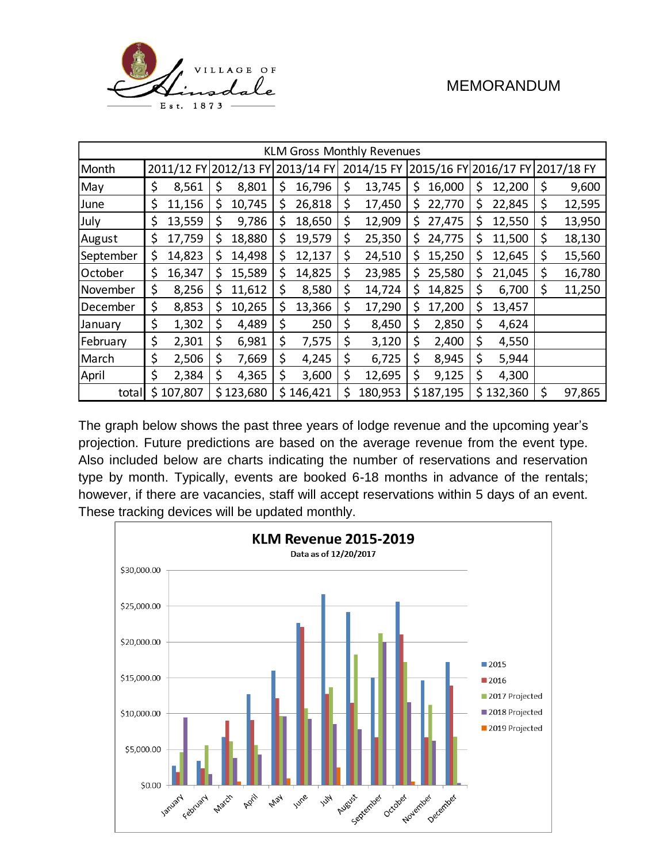

| <b>KLM Gross Monthly Revenues</b> |    |           |    |                                     |    |           |    |            |                                  |           |    |           |    |        |
|-----------------------------------|----|-----------|----|-------------------------------------|----|-----------|----|------------|----------------------------------|-----------|----|-----------|----|--------|
| Month                             |    |           |    | 2011/12 FY 2012/13 FY<br>2013/14 FY |    |           |    | 2014/15 FY | 2015/16 FY 2016/17 FY 2017/18 FY |           |    |           |    |        |
| May                               | \$ | 8,561     | \$ | 8,801                               | \$ | 16,796    | \$ | 13,745     | \$                               | 16,000    | \$ | 12,200    | \$ | 9,600  |
| June                              | \$ | 11,156    | \$ | 10,745                              | \$ | 26,818    | \$ | 17,450     | \$                               | 22,770    | \$ | 22,845    | \$ | 12,595 |
| July                              | \$ | 13,559    | \$ | 9,786                               | \$ | 18,650    | \$ | 12,909     | \$                               | 27,475    | \$ | 12,550    | \$ | 13,950 |
| August                            | \$ | 17,759    | \$ | 18,880                              | \$ | 19,579    | \$ | 25,350     | \$                               | 24,775    | \$ | 11,500    | \$ | 18,130 |
| September                         | \$ | 14,823    | \$ | 14,498                              | \$ | 12,137    | \$ | 24,510     | \$                               | 15,250    | \$ | 12,645    | \$ | 15,560 |
| October                           | \$ | 16,347    | \$ | 15,589                              | \$ | 14,825    | \$ | 23,985     | \$                               | 25,580    | \$ | 21,045    | \$ | 16,780 |
| November                          | \$ | 8,256     | \$ | 11,612                              | \$ | 8,580     | \$ | 14,724     | \$                               | 14,825    | \$ | 6,700     | \$ | 11,250 |
| December                          | \$ | 8,853     | \$ | 10,265                              | \$ | 13,366    | \$ | 17,290     | \$                               | 17,200    | \$ | 13,457    |    |        |
| January                           | \$ | 1,302     | \$ | 4,489                               | \$ | 250       | \$ | 8,450      | \$                               | 2,850     | \$ | 4,624     |    |        |
| February                          | \$ | 2,301     | \$ | 6,981                               | \$ | 7,575     | \$ | 3,120      | \$                               | 2,400     | \$ | 4,550     |    |        |
| March                             | \$ | 2,506     | \$ | 7,669                               | \$ | 4,245     | \$ | 6,725      | \$                               | 8,945     | \$ | 5,944     |    |        |
| April                             | \$ | 2,384     | \$ | 4,365                               | \$ | 3,600     | \$ | 12,695     | \$                               | 9,125     | \$ | 4,300     |    |        |
| total                             |    | \$107,807 |    | \$123,680                           |    | \$146,421 | \$ | 180,953    |                                  | \$187,195 |    | \$132,360 | \$ | 97,865 |

The graph below shows the past three years of lodge revenue and the upcoming year's projection. Future predictions are based on the average revenue from the event type. Also included below are charts indicating the number of reservations and reservation type by month. Typically, events are booked 6-18 months in advance of the rentals; however, if there are vacancies, staff will accept reservations within 5 days of an event. These tracking devices will be updated monthly.

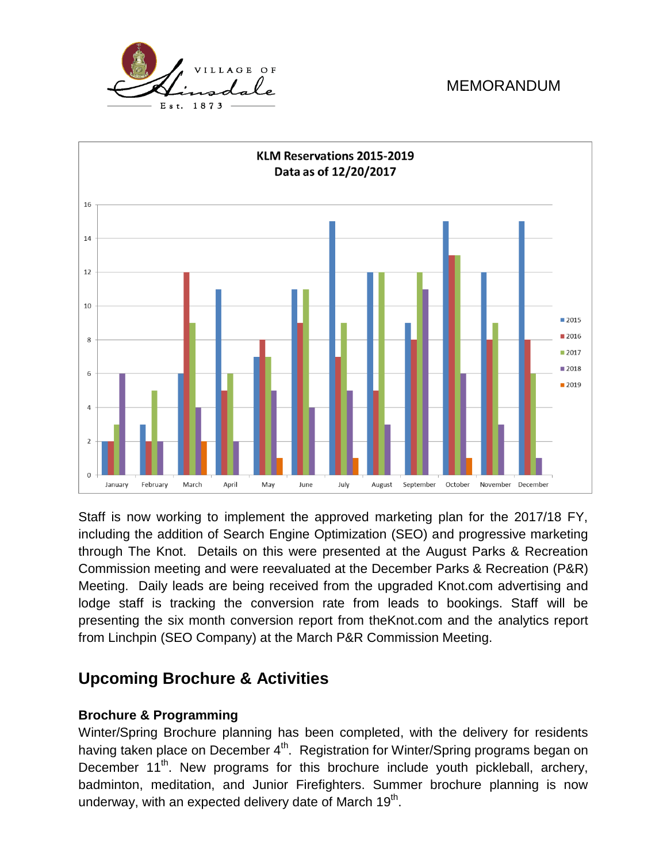



Staff is now working to implement the approved marketing plan for the 2017/18 FY, including the addition of Search Engine Optimization (SEO) and progressive marketing through The Knot. Details on this were presented at the August Parks & Recreation Commission meeting and were reevaluated at the December Parks & Recreation (P&R) Meeting. Daily leads are being received from the upgraded Knot.com advertising and lodge staff is tracking the conversion rate from leads to bookings. Staff will be presenting the six month conversion report from theKnot.com and the analytics report from Linchpin (SEO Company) at the March P&R Commission Meeting.

# **Upcoming Brochure & Activities**

### **Brochure & Programming**

Winter/Spring Brochure planning has been completed, with the delivery for residents having taken place on December  $4^{\text{th}}$ . Registration for Winter/Spring programs began on December 11<sup>th</sup>. New programs for this brochure include youth pickleball, archery, badminton, meditation, and Junior Firefighters. Summer brochure planning is now underway, with an expected delivery date of March 19 $^{\text{th}}$ .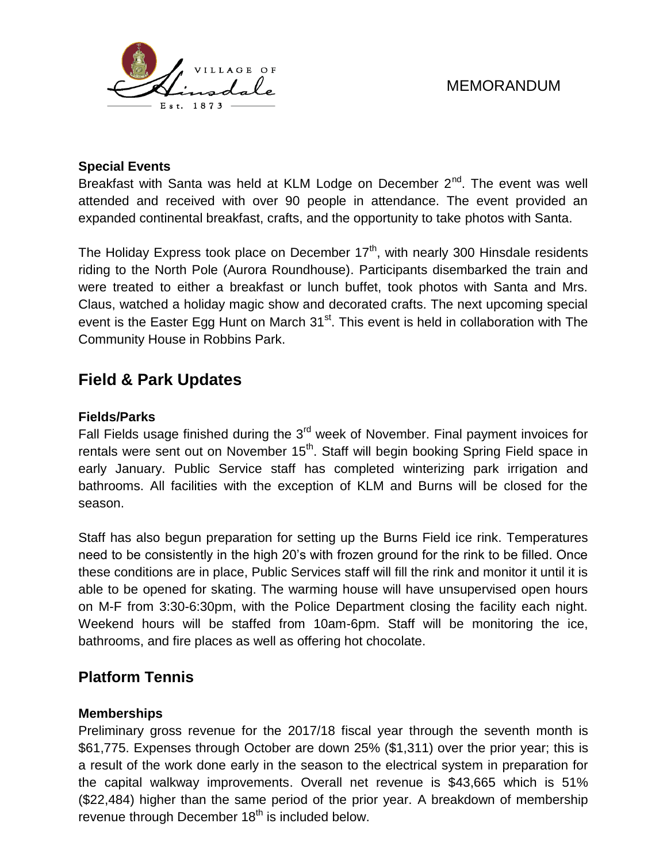

#### **Special Events**

Breakfast with Santa was held at KLM Lodge on December  $2^{nd}$ . The event was well attended and received with over 90 people in attendance. The event provided an expanded continental breakfast, crafts, and the opportunity to take photos with Santa.

The Holiday Express took place on December  $17<sup>th</sup>$ , with nearly 300 Hinsdale residents riding to the North Pole (Aurora Roundhouse). Participants disembarked the train and were treated to either a breakfast or lunch buffet, took photos with Santa and Mrs. Claus, watched a holiday magic show and decorated crafts. The next upcoming special event is the Easter Egg Hunt on March  $31<sup>st</sup>$ . This event is held in collaboration with The Community House in Robbins Park.

# **Field & Park Updates**

#### **Fields/Parks**

Fall Fields usage finished during the  $3<sup>rd</sup>$  week of November. Final payment invoices for rentals were sent out on November 15<sup>th</sup>. Staff will begin booking Spring Field space in early January. Public Service staff has completed winterizing park irrigation and bathrooms. All facilities with the exception of KLM and Burns will be closed for the season.

Staff has also begun preparation for setting up the Burns Field ice rink. Temperatures need to be consistently in the high 20's with frozen ground for the rink to be filled. Once these conditions are in place, Public Services staff will fill the rink and monitor it until it is able to be opened for skating. The warming house will have unsupervised open hours on M-F from 3:30-6:30pm, with the Police Department closing the facility each night. Weekend hours will be staffed from 10am-6pm. Staff will be monitoring the ice, bathrooms, and fire places as well as offering hot chocolate.

### **Platform Tennis**

### **Memberships**

Preliminary gross revenue for the 2017/18 fiscal year through the seventh month is \$61,775. Expenses through October are down 25% (\$1,311) over the prior year; this is a result of the work done early in the season to the electrical system in preparation for the capital walkway improvements. Overall net revenue is \$43,665 which is 51% (\$22,484) higher than the same period of the prior year. A breakdown of membership revenue through December 18<sup>th</sup> is included below.